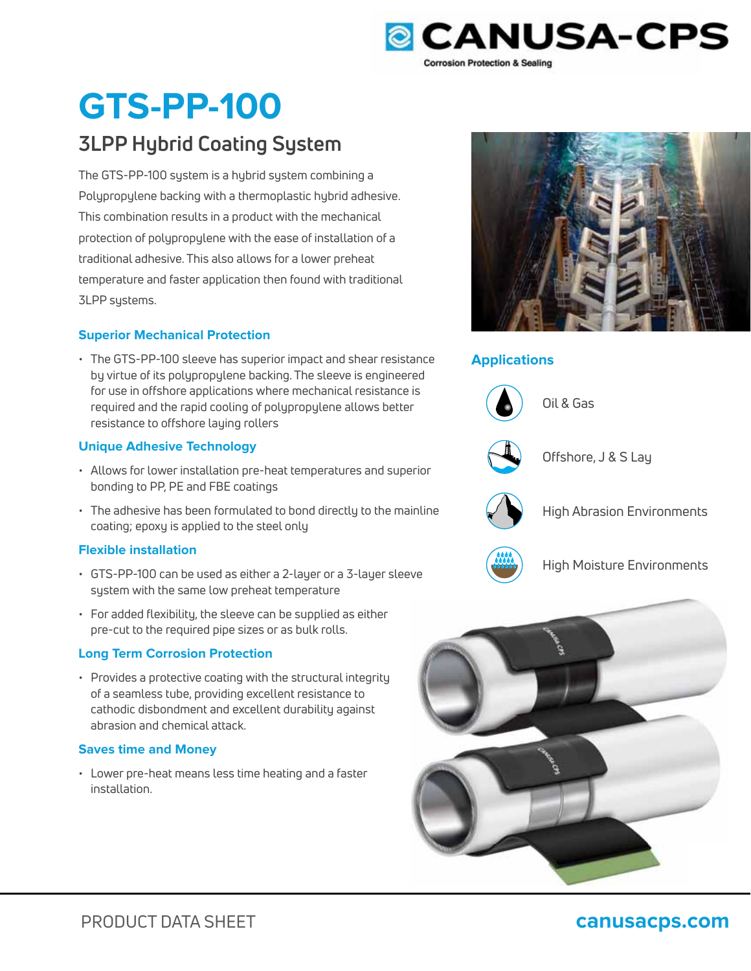

# **GTS-PP-100**

# **3LPP Hybrid Coating System**

The GTS-PP-100 system is a hybrid system combining a Polypropylene backing with a thermoplastic hybrid adhesive. This combination results in a product with the mechanical protection of polypropylene with the ease of installation of a traditional adhesive. This also allows for a lower preheat temperature and faster application then found with traditional 3LPP systems.

# **Superior Mechanical Protection**

• The GTS-PP-100 sleeve has superior impact and shear resistance by virtue of its polypropylene backing. The sleeve is engineered for use in offshore applications where mechanical resistance is required and the rapid cooling of polypropylene allows better resistance to offshore laying rollers

# **Unique Adhesive Technology**

- Allows for lower installation pre-heat temperatures and superior bonding to PP, PE and FBE coatings
- The adhesive has been formulated to bond directly to the mainline coating; epoxy is applied to the steel only

# **Flexible installation**

- GTS-PP-100 can be used as either a 2-layer or a 3-layer sleeve system with the same low preheat temperature
- For added flexibility, the sleeve can be supplied as either pre-cut to the required pipe sizes or as bulk rolls.

# **Long Term Corrosion Protection**

• Provides a protective coating with the structural integrity of a seamless tube, providing excellent resistance to cathodic disbondment and excellent durability against abrasion and chemical attack.

# **Saves time and Money**

• Lower pre-heat means less time heating and a faster installation.



# **Applications**



Oil & Gas



Offshore, J & S Lay



High Abrasion Environments



High Moisture Environments